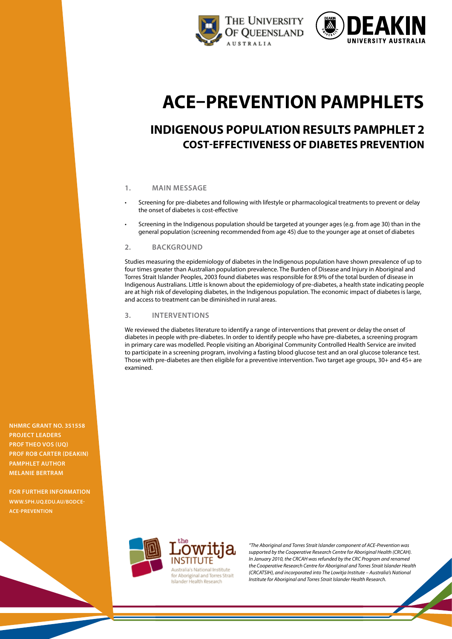



# **ACE–Prevention pamphlets**

# **Indigenous population Results pamphlet 2 Cost-Effectiveness of Diabetes Prevention**

## **1. Main message**

- Screening for pre-diabetes and following with lifestyle or pharmacological treatments to prevent or delay the onset of diabetes is cost-effective
- Screening in the Indigenous population should be targeted at younger ages (e.g. from age 30) than in the general population (screening recommended from age 45) due to the younger age at onset of diabetes

#### **2. Background**

Studies measuring the epidemiology of diabetes in the Indigenous population have shown prevalence of up to four times greater than Australian population prevalence. The Burden of Disease and Injury in Aboriginal and Torres Strait Islander Peoples, 2003 found diabetes was responsible for 8.9% of the total burden of disease in Indigenous Australians. Little is known about the epidemiology of pre-diabetes, a health state indicating people are at high risk of developing diabetes, in the Indigenous population. The economic impact of diabetes is large, and access to treatment can be diminished in rural areas.

### **3. Interventions**

We reviewed the diabetes literature to identify a range of interventions that prevent or delay the onset of diabetes in people with pre-diabetes. In order to identify people who have pre-diabetes, a screening program in primary care was modelled. People visiting an Aboriginal Community Controlled Health Service are invited to participate in a screening program, involving a fasting blood glucose test and an oral glucose tolerance test. Those with pre-diabetes are then eligible for a preventive intervention. Two target age groups, 30+ and 45+ are examined.



*"The Aboriginal and Torres Strait Islander component of ACE-Prevention was supported by the Cooperative Research Centre for Aboriginal Health (CRCAH). In January 2010, the CRCAH was refunded by the CRC Program and renamed the Cooperative Research Centre for Aboriginal and Torres Strait Islander Health (CRCATSIH), and incorporated into The Lowitja Institute – Australia's National Institute for Aboriginal and Torres Strait Islander Health Research.*

**NHMRC Grant No. 351558 project leaders Prof Theo Vos (UQ) Prof Rob Carter (Deakin) pamphlet author Melanie Bertram**

**For further information [www.sph.uq.edu.au/bodce](http://www.sph.uq.edu.au/bodce-ace-prevention)ace-prevention**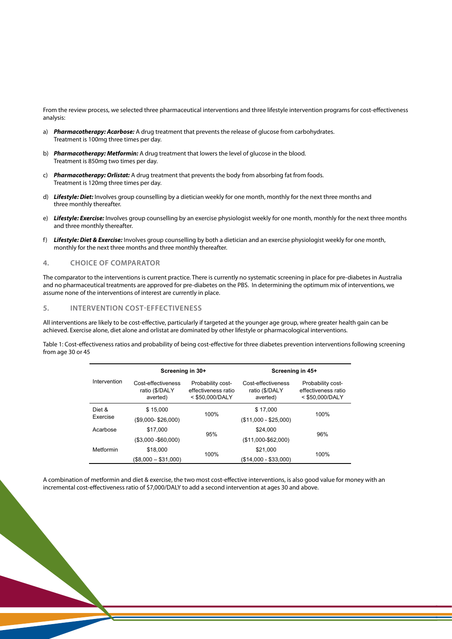From the review process, we selected three pharmaceutical interventions and three lifestyle intervention programs for cost-effectiveness analysis:

- a) *Pharmacotherapy: Acarbose:* A drug treatment that prevents the release of glucose from carbohydrates. Treatment is 100mg three times per day.
- b) *Pharmacotherapy: Metformin:* A drug treatment that lowers the level of glucose in the blood. Treatment is 850mg two times per day.
- c) *Pharmacotherapy: Orlistat:* A drug treatment that prevents the body from absorbing fat from foods. Treatment is 120mg three times per day.
- d) *Lifestyle: Diet:* Involves group counselling by a dietician weekly for one month, monthly for the next three months and three monthly thereafter. f) *Lifestyle: Diet & Exercise:* Involves group counselling by both a dietician and an
- e) Lifestyle: Exercise: Involves group counselling by an exercise physiologist weekly for one month, monthly for the next three months and three monthly thereafter. and the counterling by an exercise
- f) *Lifestyle: Diet & Exercise:* Involves group counselling by both a dietician and an exercise physiologist weekly for one month, **4. Choice of comparator** monthly for the next three months and three monthly thereafter.

#### **4.** CHOICE OF COMPARATOR siscreening in place for pre-diabetes in Australia and no pharmaceutical treatments are no pharmaceutical treatments are no pharmaceutical treatments are no pharmaceutical treatments are no pharmaceutical treatments are no

The comparator to the interventions is current practice. There is currently no systematic screening in place for pre-diabetes in Australia and no pharmaceutical treatments are approved for pre-diabetes on the PBS. In determining the optimum mix of interventions, we assume none of the interventions of interest are currently in place.

#### **5. Intervention cost-effectiveness**

.<br>All interventions are likely to be cost-effective, particularly if targeted at the younger age group, where greater health gain can be achieved. Exercise alone, diet alone and orlistat are dominated by other lifestyle or pharmacological interventions.<br>achieved. Exercise alone, diet alone and orlistat are dominated by other lifestyle or pharmacological int are dominated by other lifestyle or pharmacological interventions.

Table 1: Cost-effectiveness ratios and probability of being cost-effective for three diabetes prevention interventions following screening<br>from 200.20 or 45 from age 30 or 45

|                    | Screening in 30+                                 |                                                             | Screening in 45+                                 |                                                             |
|--------------------|--------------------------------------------------|-------------------------------------------------------------|--------------------------------------------------|-------------------------------------------------------------|
| Intervention       | Cost-effectiveness<br>ratio (\$/DALY<br>averted) | Probability cost-<br>effectiveness ratio<br>< \$50.000/DALY | Cost-effectiveness<br>ratio (\$/DALY<br>averted) | Probability cost-<br>effectiveness ratio<br>< \$50,000/DALY |
| Diet &<br>Exercise | \$15,000                                         | 100%                                                        | \$17,000                                         | 100%                                                        |
|                    | $($9,000 - $26,000)$                             |                                                             | $($11,000 - $25,000)$                            |                                                             |
| Acarbose           | \$17,000                                         | 95%                                                         | \$24,000                                         | 96%                                                         |
|                    | $($3,000 - $60,000)$                             |                                                             | $($ \$11,000-\$62,000)                           |                                                             |
| Metformin          | \$18,000                                         | 100%                                                        | \$21,000                                         | 100%                                                        |
|                    | $($8,000 - $31,000)$                             |                                                             | $(S14.000 - S33.000)$                            |                                                             |

A combination of metformin and diet & exercise, the two most cost-effective interventions, is also good value for money with an A combination of metformin and diet & exercise, the two most cost-effective interventions, is incremental cost-effectiveness ratio of \$7,000/DALY to add a second intervention at ages 30 and above. add a second intervention at ages 30 and above. decording and diet & exercise, the two most cost-effective interventions, is also good value for mo

2

same) there is more doubt how appropriate the available evidence on effectiveness of diet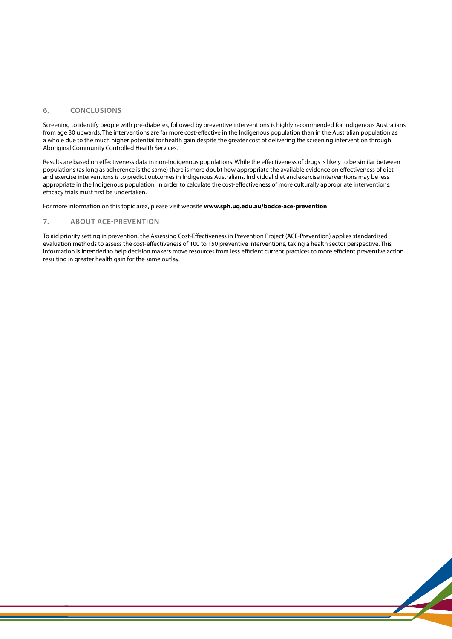#### **6. Conclusions**

Screening to identify people with pre-diabetes, followed by preventive interventions is highly recommended for Indigenous Australians from age 30 upwards. The interventions are far more cost-effective in the Indigenous population than in the Australian population as a whole due to the much higher potential for health gain despite the greater cost of delivering the screening intervention through Aboriginal Community Controlled Health Services.

Results are based on effectiveness data in non-Indigenous populations. While the effectiveness of drugs is likely to be similar between populations (as long as adherence is the same) there is more doubt how appropriate the available evidence on effectiveness of diet and exercise interventions is to predict outcomes in Indigenous Australians. Individual diet and exercise interventions may be less appropriate in the Indigenous population. In order to calculate the cost-effectiveness of more culturally appropriate interventions, efficacy trials must first be undertaken.

For more information on this topic area, please visit website **www.sph.uq.edu.au/bodce-ace-prevention**

#### **7. About ACE-Prevention**

To aid priority setting in prevention, the Assessing Cost-Effectiveness in Prevention Project (ACE-Prevention) applies standardised evaluation methods to assess the cost-effectiveness of 100 to 150 preventive interventions, taking a health sector perspective. This information is intended to help decision makers move resources from less efficient current practices to more efficient preventive action resulting in greater health gain for the same outlay.